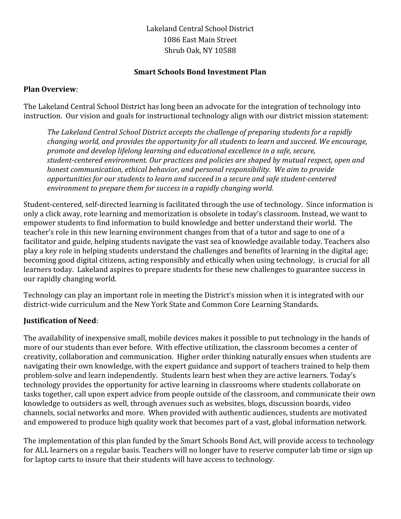# Lakeland Central School District 1086 East Main Street Shrub Oak, NY 10588

#### **Smart Schools Bond Investment Plan**

#### **Plan Overview**:

The Lakeland Central School District has long been an advocate for the integration of technology into instruction. Our vision and goals for instructional technology align with our district mission statement:

*The Lakeland Central School District accepts the challenge of preparing students for a rapidly changing world, and provides the opportunity for all students to learn and succeed. We encourage, promote and develop lifelong learning and educational excellence in a safe, secure, student-centered environment. Our practices and policies are shaped by mutual respect, open and honest communication, ethical behavior, and personal responsibility. We aim to provide opportunities for our students to learn and succeed in a secure and safe student-centered environment to prepare them for success in a rapidly changing world.*

Student-centered, self-directed learning is facilitated through the use of technology. Since information is only a click away, rote learning and memorization is obsolete in today's classroom. Instead, we want to empower students to find information to build knowledge and better understand their world. The teacher's role in this new learning environment changes from that of a tutor and sage to one of a facilitator and guide, helping students navigate the vast sea of knowledge available today. Teachers also play a key role in helping students understand the challenges and benefits of learning in the digital age; becoming good digital citizens, acting responsibly and ethically when using technology, is crucial for all learners today. Lakeland aspires to prepare students for these new challenges to guarantee success in our rapidly changing world.

Technology can play an important role in meeting the District's mission when it is integrated with our district-wide curriculum and the New York State and Common Core Learning Standards.

### **Justification of Need**:

The availability of inexpensive small, mobile devices makes it possible to put technology in the hands of more of our students than ever before. With effective utilization, the classroom becomes a center of creativity, collaboration and communication. Higher order thinking naturally ensues when students are navigating their own knowledge, with the expert guidance and support of teachers trained to help them problem-solve and learn independently. Students learn best when they are active learners. Today's technology provides the opportunity for active learning in classrooms where students collaborate on tasks together, call upon expert advice from people outside of the classroom, and communicate their own knowledge to outsiders as well, through avenues such as websites, blogs, discussion boards, video channels, social networks and more. When provided with authentic audiences, students are motivated and empowered to produce high quality work that becomes part of a vast, global information network.

The implementation of this plan funded by the Smart Schools Bond Act, will provide access to technology for ALL learners on a regular basis. Teachers will no longer have to reserve computer lab time or sign up for laptop carts to insure that their students will have access to technology.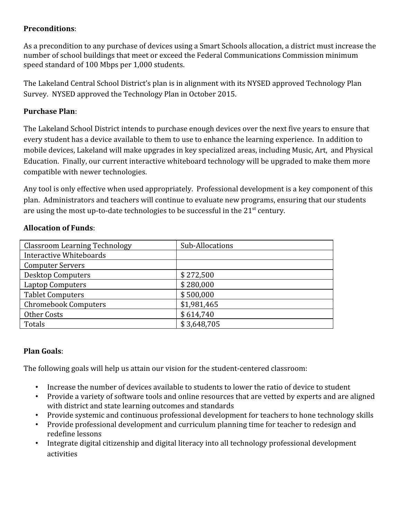# **Preconditions**:

As a precondition to any purchase of devices using a Smart Schools allocation, a district must increase the number of school buildings that meet or exceed the Federal Communications Commission minimum speed standard of 100 Mbps per 1,000 students.

The Lakeland Central School District's plan is in alignment with its NYSED approved Technology Plan Survey. NYSED approved the Technology Plan in October 2015.

### **Purchase Plan**:

The Lakeland School District intends to purchase enough devices over the next five years to ensure that every student has a device available to them to use to enhance the learning experience. In addition to mobile devices, Lakeland will make upgrades in key specialized areas, including Music, Art, and Physical Education. Finally, our current interactive whiteboard technology will be upgraded to make them more compatible with newer technologies.

Any tool is only effective when used appropriately. Professional development is a key component of this plan. Administrators and teachers will continue to evaluate new programs, ensuring that our students are using the most up-to-date technologies to be successful in the  $21^\mathrm{st}$  century.

| <b>Classroom Learning Technology</b> | Sub-Allocations |
|--------------------------------------|-----------------|
| Interactive Whiteboards              |                 |
| <b>Computer Servers</b>              |                 |
| <b>Desktop Computers</b>             | \$272,500       |
| <b>Laptop Computers</b>              | \$280,000       |
| <b>Tablet Computers</b>              | \$500,000       |
| <b>Chromebook Computers</b>          | \$1,981,465     |
| <b>Other Costs</b>                   | \$614,740       |
| Totals                               | \$3,648,705     |

#### **Allocation of Funds**:

### **Plan Goals**:

The following goals will help us attain our vision for the student-centered classroom:

- Increase the number of devices available to students to lower the ratio of device to student
- Provide a variety of software tools and online resources that are vetted by experts and are aligned with district and state learning outcomes and standards
- Provide systemic and continuous professional development for teachers to hone technology skills
- Provide professional development and curriculum planning time for teacher to redesign and redefine lessons
- Integrate digital citizenship and digital literacy into all technology professional development activities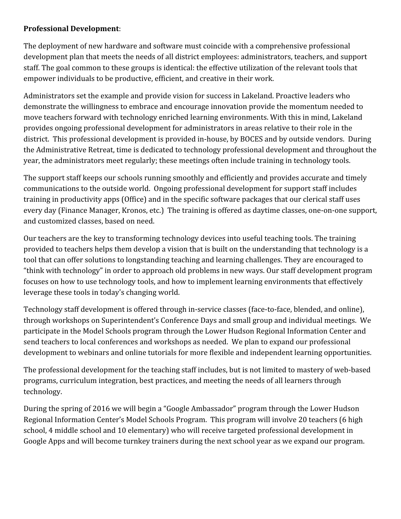## **Professional Development**:

The deployment of new hardware and software must coincide with a comprehensive professional development plan that meets the needs of all district employees: administrators, teachers, and support staff. The goal common to these groups is identical: the effective utilization of the relevant tools that empower individuals to be productive, efficient, and creative in their work.

Administrators set the example and provide vision for success in Lakeland. Proactive leaders who demonstrate the willingness to embrace and encourage innovation provide the momentum needed to move teachers forward with technology enriched learning environments. With this in mind, Lakeland provides ongoing professional development for administrators in areas relative to their role in the district. This professional development is provided in-house, by BOCES and by outside vendors. During the Administrative Retreat, time is dedicated to technology professional development and throughout the year, the administrators meet regularly; these meetings often include training in technology tools.

The support staff keeps our schools running smoothly and efficiently and provides accurate and timely communications to the outside world. Ongoing professional development for support staff includes training in productivity apps (Office) and in the specific software packages that our clerical staff uses every day (Finance Manager, Kronos, etc.) The training is offered as daytime classes, one-on-one support, and customized classes, based on need.

Our teachers are the key to transforming technology devices into useful teaching tools. The training provided to teachers helps them develop a vision that is built on the understanding that technology is a tool that can offer solutions to longstanding teaching and learning challenges. They are encouraged to "think with technology" in order to approach old problems in new ways. Our staff development program focuses on how to use technology tools, and how to implement learning environments that effectively leverage these tools in today's changing world.

Technology staff development is offered through in-service classes (face-to-face, blended, and online), through workshops on Superintendent's Conference Days and small group and individual meetings. We participate in the Model Schools program through the Lower Hudson Regional Information Center and send teachers to local conferences and workshops as needed. We plan to expand our professional development to webinars and online tutorials for more flexible and independent learning opportunities.

The professional development for the teaching staff includes, but is not limited to mastery of web-based programs, curriculum integration, best practices, and meeting the needs of all learners through technology.

During the spring of 2016 we will begin a "Google Ambassador" program through the Lower Hudson Regional Information Center's Model Schools Program. This program will involve 20 teachers (6 high school, 4 middle school and 10 elementary) who will receive targeted professional development in Google Apps and will become turnkey trainers during the next school year as we expand our program.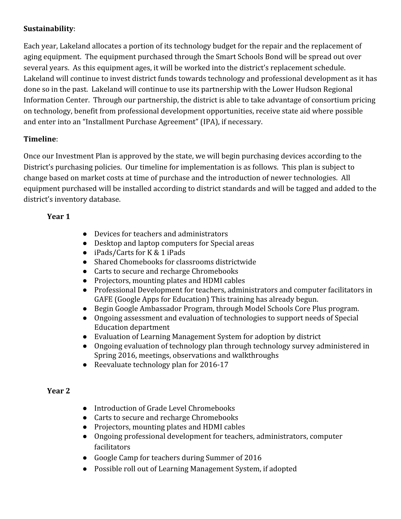# **Sustainability**:

Each year, Lakeland allocates a portion of its technology budget for the repair and the replacement of aging equipment. The equipment purchased through the Smart Schools Bond will be spread out over several years. As this equipment ages, it will be worked into the district's replacement schedule. Lakeland will continue to invest district funds towards technology and professional development as it has done so in the past. Lakeland will continue to use its partnership with the Lower Hudson Regional Information Center. Through our partnership, the district is able to take advantage of consortium pricing on technology, benefit from professional development opportunities, receive state aid where possible and enter into an "Installment Purchase Agreement" (IPA), if necessary.

# **Timeline**:

Once our Investment Plan is approved by the state, we will begin purchasing devices according to the District's purchasing policies. Our timeline for implementation is as follows. This plan is subject to change based on market costs at time of purchase and the introduction of newer technologies. All equipment purchased will be installed according to district standards and will be tagged and added to the district's inventory database.

### **Year 1**

- Devices for teachers and administrators
- Desktop and laptop computers for Special areas
- iPads/Carts for K & 1 iPads
- Shared Chomebooks for classrooms districtwide
- Carts to secure and recharge Chromebooks
- Projectors, mounting plates and HDMI cables
- Professional Development for teachers, administrators and computer facilitators in GAFE (Google Apps for Education) This training has already begun.
- Begin Google Ambassador Program, through Model Schools Core Plus program.
- Ongoing assessment and evaluation of technologies to support needs of Special Education department
- Evaluation of Learning Management System for adoption by district
- Ongoing evaluation of technology plan through technology survey administered in Spring 2016, meetings, observations and walkthroughs
- Reevaluate technology plan for 2016-17

# **Year 2**

- Introduction of Grade Level Chromebooks
- Carts to secure and recharge Chromebooks
- Projectors, mounting plates and HDMI cables
- Ongoing professional development for teachers, administrators, computer facilitators
- Google Camp for teachers during Summer of 2016
- Possible roll out of Learning Management System, if adopted